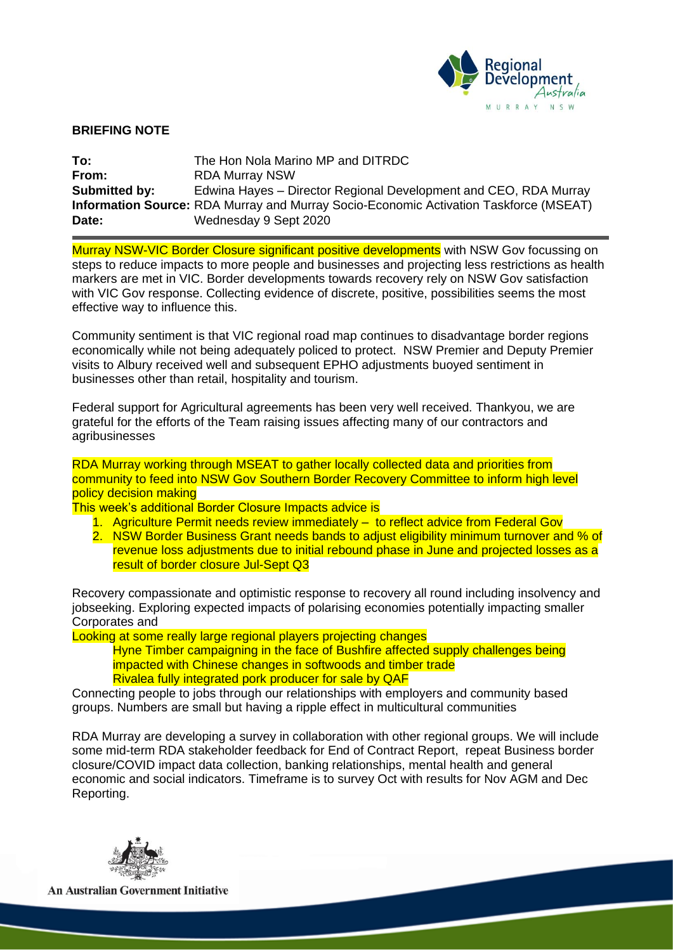

## **BRIEFING NOTE**

**To:** The Hon Nola Marino MP and DITRDC **From:** RDA Murray NSW **Submitted by:** Edwina Hayes – Director Regional Development and CEO, RDA Murray **Information Source:** RDA Murray and Murray Socio-Economic Activation Taskforce (MSEAT) **Date:** Wednesday 9 Sept 2020

Murray NSW-VIC Border Closure significant positive developments with NSW Gov focussing on steps to reduce impacts to more people and businesses and projecting less restrictions as health markers are met in VIC. Border developments towards recovery rely on NSW Gov satisfaction with VIC Gov response. Collecting evidence of discrete, positive, possibilities seems the most effective way to influence this.

Community sentiment is that VIC regional road map continues to disadvantage border regions economically while not being adequately policed to protect. NSW Premier and Deputy Premier visits to Albury received well and subsequent EPHO adjustments buoyed sentiment in businesses other than retail, hospitality and tourism.

Federal support for Agricultural agreements has been very well received. Thankyou, we are grateful for the efforts of the Team raising issues affecting many of our contractors and agribusinesses

RDA Murray working through MSEAT to gather locally collected data and priorities from community to feed into NSW Gov Southern Border Recovery Committee to inform high level policy decision making

This week's additional Border Closure Impacts advice is

- 1. Agriculture Permit needs review immediately to reflect advice from Federal Gov
- 2. NSW Border Business Grant needs bands to adjust eligibility minimum turnover and % of revenue loss adjustments due to initial rebound phase in June and projected losses as a result of border closure Jul-Sept Q3

Recovery compassionate and optimistic response to recovery all round including insolvency and jobseeking. Exploring expected impacts of polarising economies potentially impacting smaller Corporates and

Looking at some really large regional players projecting changes

Hyne Timber campaigning in the face of Bushfire affected supply challenges being impacted with Chinese changes in softwoods and timber trade Rivalea fully integrated pork producer for sale by QAF

Connecting people to jobs through our relationships with employers and community based groups. Numbers are small but having a ripple effect in multicultural communities

RDA Murray are developing a survey in collaboration with other regional groups. We will include some mid-term RDA stakeholder feedback for End of Contract Report, repeat Business border closure/COVID impact data collection, banking relationships, mental health and general economic and social indicators. Timeframe is to survey Oct with results for Nov AGM and Dec Reporting.



**An Australian Government Initiative**